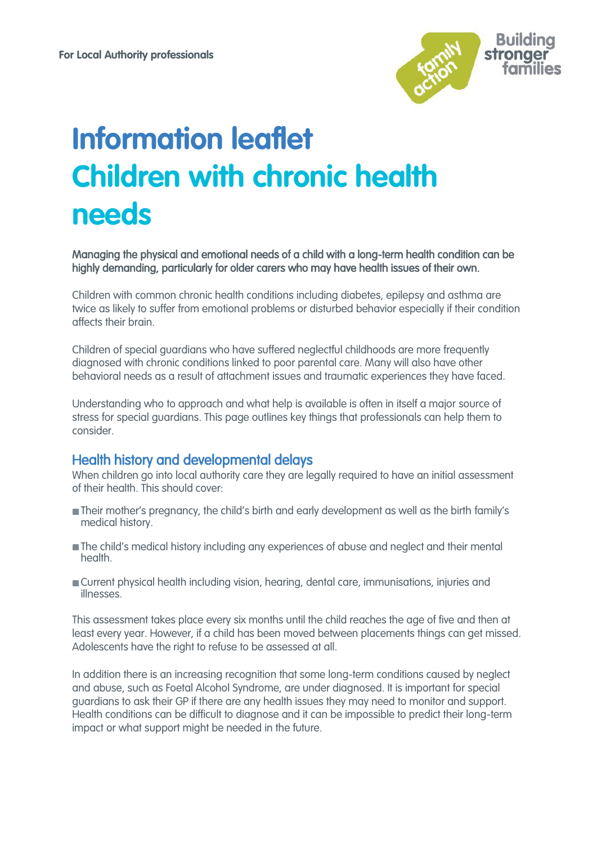

# **Information leaflet Children with chronic health needs**

Managing the physical and emotional needs of a child with a long-term health condition can be highly demanding, particularly for older carers who may have health issues of their own.

Children with common chronic health conditions including diabetes, epilepsy and asthma are twice as likely to suffer from emotional problems or disturbed behavior especially if their condition affects their brain.

Children of special guardians who have suffered neglectful childhoods are more frequently diagnosed with chronic conditions linked to poor parental care. Many will also have other behavioral needs as a result of attachment issues and traumatic experiences they have faced.

Understanding who to approach and what help is available is often in itself a major source of stress for special guardians. This page outlines key things that professionals can help them to consider.

## Health history and developmental delays

When children go into local authority care they are legally required to have an initial assessment of their health. This should cover:

- **Their mother's pregnancy, the child's birth and early development as well as the birth family's** medical history.
- The child's medical history including any experiences of abuse and neglect and their mental health.
- Current physical health including vision, hearing, dental care, immunisations, injuries and illnesses.

This assessment takes place every six months until the child reaches the age of five and then at least every year. However, if a child has been moved between placements things can get missed. Adolescents have the right to refuse to be assessed at all.

In addition there is an increasing recognition that some long-term conditions caused by neglect and abuse, such as Foetal Alcohol Syndrome, are under diagnosed. It is important for special guardians to ask their GP if there are any health issues they may need to monitor and support. Health conditions can be difficult to diagnose and it can be impossible to predict their long-term impact or what support might be needed in the future.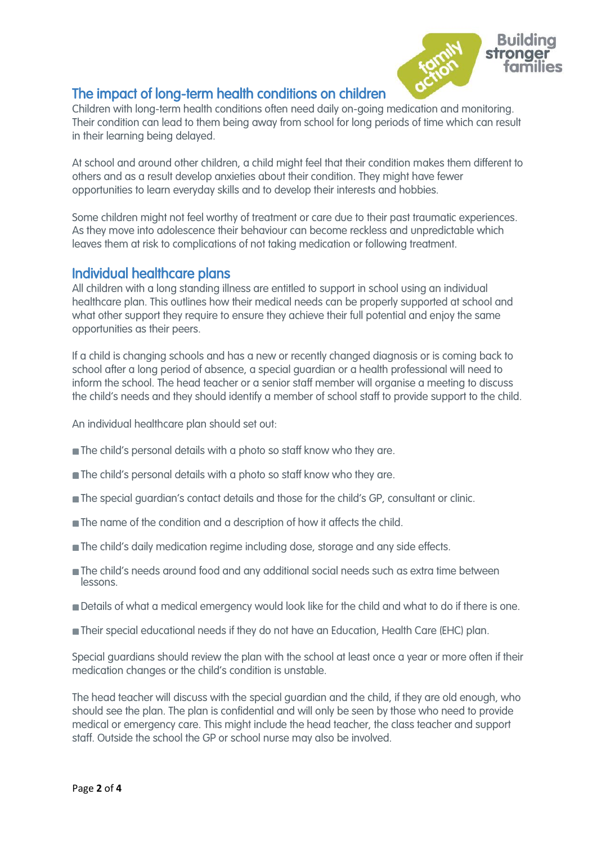

## The impact of long-term health conditions on children

Children with long-term health conditions often need daily on-going medication and monitoring. Their condition can lead to them being away from school for long periods of time which can result in their learning being delayed.

At school and around other children, a child might feel that their condition makes them different to others and as a result develop anxieties about their condition. They might have fewer opportunities to learn everyday skills and to develop their interests and hobbies.

Some children might not feel worthy of treatment or care due to their past traumatic experiences. As they move into adolescence their behaviour can become reckless and unpredictable which leaves them at risk to complications of not taking medication or following treatment.

## Individual healthcare plans

All children with a long standing illness are entitled to support in school using an individual healthcare plan. This outlines how their medical needs can be properly supported at school and what other support they require to ensure they achieve their full potential and enjoy the same opportunities as their peers.

If a child is changing schools and has a new or recently changed diagnosis or is coming back to school after a long period of absence, a special guardian or a health professional will need to inform the school. The head teacher or a senior staff member will organise a meeting to discuss the child's needs and they should identify a member of school staff to provide support to the child.

An individual healthcare plan should set out:

- The child's personal details with a photo so staff know who they are.
- **The child's personal details with a photo so staff know who they are.**
- **The special guardian's contact details and those for the child's GP, consultant or clinic.**
- The name of the condition and a description of how it affects the child.
- **The child's daily medication regime including dose, storage and any side effects.**
- **The child's needs around food and any additional social needs such as extra time between** lessons.
- **Details of what a medical emergency would look like for the child and what to do if there is one.**
- Their special educational needs if they do not have an Education, Health Care (EHC) plan.

Special guardians should review the plan with the school at least once a year or more often if their medication changes or the child's condition is unstable.

The head teacher will discuss with the special guardian and the child, if they are old enough, who should see the plan. The plan is confidential and will only be seen by those who need to provide medical or emergency care. This might include the head teacher, the class teacher and support staff. Outside the school the GP or school nurse may also be involved.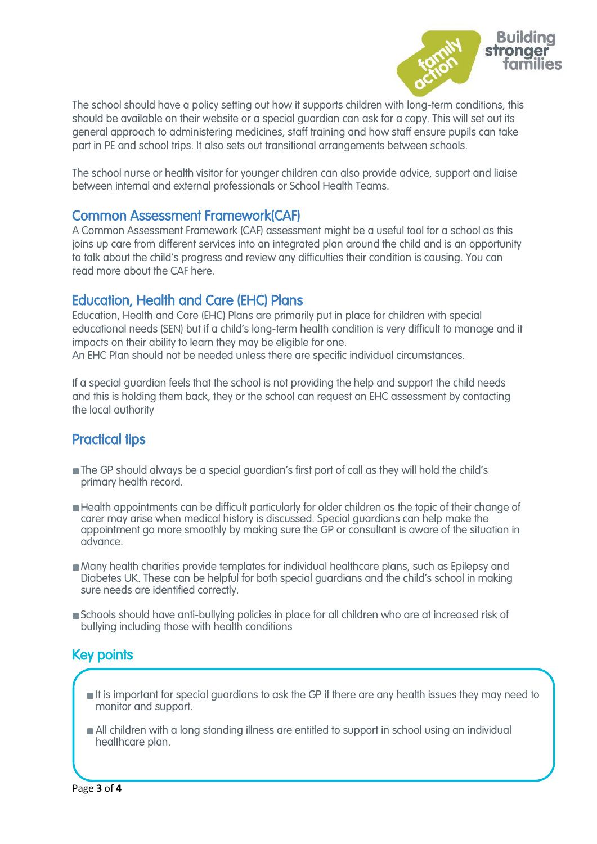

The school should have a policy setting out how it supports children with long-term conditions, this should be available on their website or a special guardian can ask for a copy. This will set out its general approach to administering medicines, staff training and how staff ensure pupils can take part in PE and school trips. It also sets out [transitional](http://www.specialguardiansupport.org.uk/managing-transitions/) arrangements between schools.

The school nurse or health visitor for younger children can also provide advice, support and liaise between internal and external professionals or School Health Teams.

## Common Assessment Framework(CAF)

A Common Assessment Framework (CAF) assessment might be a useful tool for a school as this joins up care from different services into an integrated plan around the child and is an opportunity to talk about the child's progress and review any difficulties their condition is causing. You can read more about the CAF here.

## Education, Health and Care (EHC) Plans

Education, Health and Care (EHC) Plans are primarily put in place for children with special educational needs (SEN) but if a child's long-term health condition is very difficult to manage and it impacts on their ability to learn they may be eligible for one.

An EHC Plan should not be needed unless there are specific individual circumstances.

If a special guardian feels that the school is not providing the help and support the child needs and this is holding them back, they or the school can request an EHC assessment by contacting the local authority

# Practical tips

- The GP should always be a special guardian's first port of call as they will hold the child's primary health record.
- Health appointments can be difficult particularly for older children as the topic of their change of carer may arise when medical history is discussed. Special guardians can help make the appointment go more smoothly by making sure the GP or consultant is aware of the situation in advance.
- Many health charities provide templates for individual healthcare plans, such as Epilepsy and Diabetes UK. These can be helpful for both special guardians and the child's school in making sure needs are identified correctly.
- Schools should have anti-bullying policies in place for all children who are at increased risk of bullying including those with health conditions

# Key points

 $\overline{\mathcal{L}}$ 

- **If is important for special guardians to ask the GP if there are any health issues they may need to** monitor and support.
- All children with a long standing illness are entitled to support in school using an individual healthcare plan.